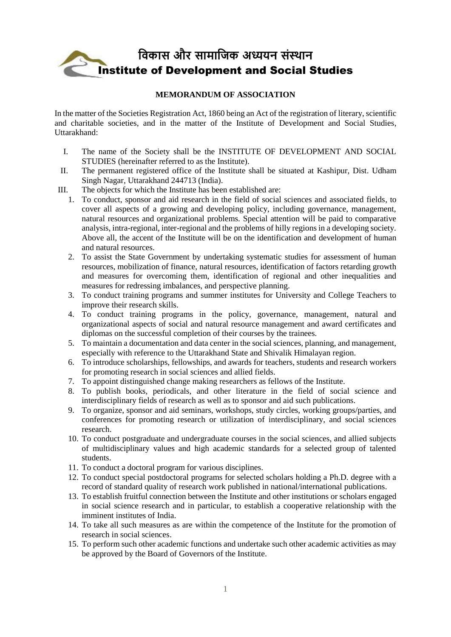# **विकास और सामाविक अध्ययन संस्थान** Institute of Development and Social Studies

# **MEMORANDUM OF ASSOCIATION**

In the matter of the Societies Registration Act, 1860 being an Act of the registration of literary, scientific and charitable societies, and in the matter of the Institute of Development and Social Studies, Uttarakhand:

- I. The name of the Society shall be the INSTITUTE OF DEVELOPMENT AND SOCIAL STUDIES (hereinafter referred to as the Institute).
- II. The permanent registered office of the Institute shall be situated at Kashipur, Dist. Udham Singh Nagar, Uttarakhand 244713 (India).
- III. The objects for which the Institute has been established are:
	- 1. To conduct, sponsor and aid research in the field of social sciences and associated fields, to cover all aspects of a growing and developing policy, including governance, management, natural resources and organizational problems. Special attention will be paid to comparative analysis, intra-regional, inter-regional and the problems of hilly regions in a developing society. Above all, the accent of the Institute will be on the identification and development of human and natural resources.
	- 2. To assist the State Government by undertaking systematic studies for assessment of human resources, mobilization of finance, natural resources, identification of factors retarding growth and measures for overcoming them, identification of regional and other inequalities and measures for redressing imbalances, and perspective planning.
	- 3. To conduct training programs and summer institutes for University and College Teachers to improve their research skills.
	- 4. To conduct training programs in the policy, governance, management, natural and organizational aspects of social and natural resource management and award certificates and diplomas on the successful completion of their courses by the trainees.
	- 5. To maintain a documentation and data center in the social sciences, planning, and management, especially with reference to the Uttarakhand State and Shivalik Himalayan region.
	- 6. To introduce scholarships, fellowships, and awards for teachers, students and research workers for promoting research in social sciences and allied fields.
	- 7. To appoint distinguished change making researchers as fellows of the Institute.
	- 8. To publish books, periodicals, and other literature in the field of social science and interdisciplinary fields of research as well as to sponsor and aid such publications.
	- 9. To organize, sponsor and aid seminars, workshops, study circles, working groups/parties, and conferences for promoting research or utilization of interdisciplinary, and social sciences research.
	- 10. To conduct postgraduate and undergraduate courses in the social sciences, and allied subjects of multidisciplinary values and high academic standards for a selected group of talented students.
	- 11. To conduct a doctoral program for various disciplines.
	- 12. To conduct special postdoctoral programs for selected scholars holding a Ph.D. degree with a record of standard quality of research work published in national/international publications.
	- 13. To establish fruitful connection between the Institute and other institutions or scholars engaged in social science research and in particular, to establish a cooperative relationship with the imminent institutes of India.
	- 14. To take all such measures as are within the competence of the Institute for the promotion of research in social sciences.
	- 15. To perform such other academic functions and undertake such other academic activities as may be approved by the Board of Governors of the Institute.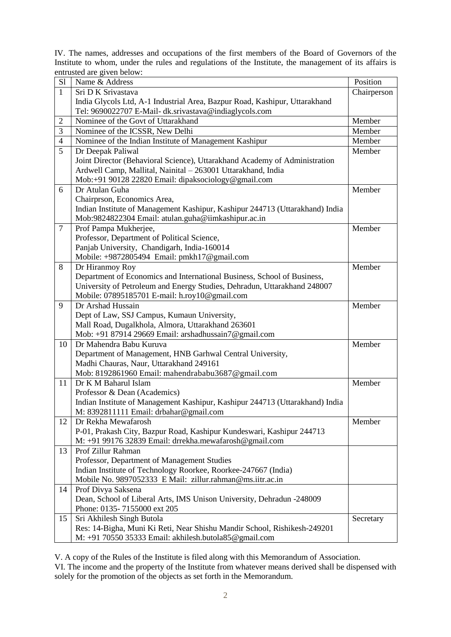IV. The names, addresses and occupations of the first members of the Board of Governors of the Institute to whom, under the rules and regulations of the Institute, the management of its affairs is entrusted are given below:

| S1             | Name & Address                                                               | Position    |
|----------------|------------------------------------------------------------------------------|-------------|
| $\mathbf{1}$   | Sri D K Srivastava                                                           | Chairperson |
|                | India Glycols Ltd, A-1 Industrial Area, Bazpur Road, Kashipur, Uttarakhand   |             |
|                | Tel: 9690022707 E-Mail- dk.srivastava@indiaglycols.com                       |             |
| 2              | Nominee of the Govt of Uttarakhand                                           | Member      |
| 3              | Nominee of the ICSSR, New Delhi                                              | Member      |
| $\overline{4}$ | Nominee of the Indian Institute of Management Kashipur                       | $M$ ember   |
| 5              | Dr Deepak Paliwal                                                            | Member      |
|                | Joint Director (Behavioral Science), Uttarakhand Academy of Administration   |             |
|                | Ardwell Camp, Mallital, Nainital - 263001 Uttarakhand, India                 |             |
|                | Mob:+91 90128 22820 Email: dipaksociology@gmail.com                          |             |
| 6              | Dr Atulan Guha                                                               | Member      |
|                | Chairprson, Economics Area,                                                  |             |
|                | Indian Institute of Management Kashipur, Kashipur 244713 (Uttarakhand) India |             |
|                | Mob:9824822304 Email: atulan.guha@iimkashipur.ac.in                          |             |
| $\tau$         | Prof Pampa Mukherjee,                                                        | Member      |
|                | Professor, Department of Political Science,                                  |             |
|                | Panjab University, Chandigarh, India-160014                                  |             |
|                | Mobile: +9872805494 Email: pmkh17@gmail.com                                  |             |
| 8              | Dr Hiranmoy Roy                                                              | Member      |
|                | Department of Economics and International Business, School of Business,      |             |
|                | University of Petroleum and Energy Studies, Dehradun, Uttarakhand 248007     |             |
|                | Mobile: 07895185701 E-mail: h.roy10@gmail.com                                |             |
| 9              | Dr Arshad Hussain                                                            | Member      |
|                | Dept of Law, SSJ Campus, Kumaun University,                                  |             |
|                | Mall Road, Dugalkhola, Almora, Uttarakhand 263601                            |             |
|                | Mob: +91 87914 29669 Email: arshadhussain7@gmail.com                         |             |
| 10             | Dr Mahendra Babu Kuruva                                                      | Member      |
|                | Department of Management, HNB Garhwal Central University,                    |             |
|                | Madhi Chauras, Naur, Uttarakhand 249161                                      |             |
|                | Mob: 8192861960 Email: mahendrababu3687@gmail.com                            |             |
| 11             | Dr K M Baharul Islam                                                         | Member      |
|                | Professor & Dean (Academics)                                                 |             |
|                | Indian Institute of Management Kashipur, Kashipur 244713 (Uttarakhand) India |             |
|                | M: 8392811111 Email: drbahar@gmail.com                                       |             |
| 12             | Dr Rekha Mewafarosh                                                          | Member      |
|                | P-01, Prakash City, Bazpur Road, Kashipur Kundeswari, Kashipur 244713        |             |
|                | M: +91 99176 32839 Email: drrekha.mewafarosh@gmail.com                       |             |
| 13             | Prof Zillur Rahman                                                           |             |
|                | Professor, Department of Management Studies                                  |             |
|                | Indian Institute of Technology Roorkee, Roorkee-247667 (India)               |             |
|                | Mobile No. 9897052333 E Mail: zillur.rahman@ms.iitr.ac.in                    |             |
| 14             | Prof Divya Saksena                                                           |             |
|                | Dean, School of Liberal Arts, IMS Unison University, Dehradun -248009        |             |
|                | Phone: 0135-7155000 ext 205                                                  |             |
| 15             | Sri Akhilesh Singh Butola                                                    | Secretary   |
|                | Res: 14-Bigha, Muni Ki Reti, Near Shishu Mandir School, Rishikesh-249201     |             |
|                | M: +91 70550 35333 Email: akhilesh.butola85@gmail.com                        |             |

V. A copy of the Rules of the Institute is filed along with this Memorandum of Association.

VI. The income and the property of the Institute from whatever means derived shall be dispensed with solely for the promotion of the objects as set forth in the Memorandum.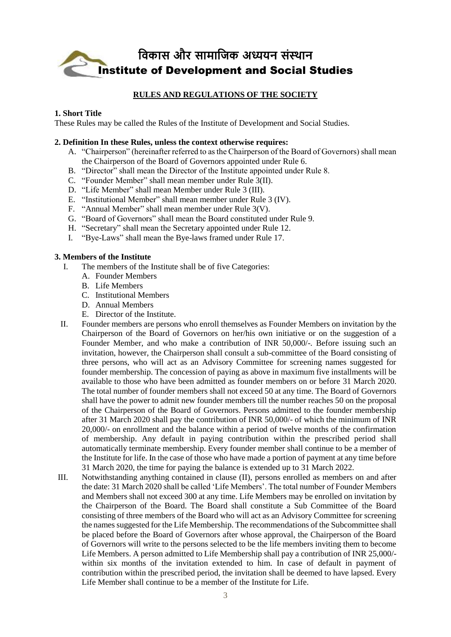

# **RULES AND REGULATIONS OF THE SOCIETY**

## **1. Short Title**

These Rules may be called the Rules of the Institute of Development and Social Studies.

#### **2. Definition In these Rules, unless the context otherwise requires:**

- A. "Chairperson" (hereinafter referred to as the Chairperson of the Board of Governors) shall mean the Chairperson of the Board of Governors appointed under Rule 6.
- B. "Director" shall mean the Director of the Institute appointed under Rule 8.
- C. "Founder Member" shall mean member under Rule 3(II).
- D. "Life Member" shall mean Member under Rule 3 (III).
- E. "Institutional Member" shall mean member under Rule 3 (IV).
- F. "Annual Member" shall mean member under Rule 3(V).
- G. "Board of Governors" shall mean the Board constituted under Rule 9.
- H. "Secretary" shall mean the Secretary appointed under Rule 12.
- I. "Bye-Laws" shall mean the Bye-laws framed under Rule 17.

## **3. Members of the Institute**

- I. The members of the Institute shall be of five Categories:
	- A. Founder Members
	- B. Life Members
	- C. Institutional Members
	- D. Annual Members
	- E. Director of the Institute.
- II. Founder members are persons who enroll themselves as Founder Members on invitation by the Chairperson of the Board of Governors on her/his own initiative or on the suggestion of a Founder Member, and who make a contribution of INR 50,000/-. Before issuing such an invitation, however, the Chairperson shall consult a sub-committee of the Board consisting of three persons, who will act as an Advisory Committee for screening names suggested for founder membership. The concession of paying as above in maximum five installments will be available to those who have been admitted as founder members on or before 31 March 2020. The total number of founder members shall not exceed 50 at any time. The Board of Governors shall have the power to admit new founder members till the number reaches 50 on the proposal of the Chairperson of the Board of Governors. Persons admitted to the founder membership after 31 March 2020 shall pay the contribution of INR 50,000/- of which the minimum of INR 20,000/- on enrollment and the balance within a period of twelve months of the confirmation of membership. Any default in paying contribution within the prescribed period shall automatically terminate membership. Every founder member shall continue to be a member of the Institute for life. In the case of those who have made a portion of payment at any time before 31 March 2020, the time for paying the balance is extended up to 31 March 2022.
- III. Notwithstanding anything contained in clause (II), persons enrolled as members on and after the date: 31 March 2020 shall be called 'Life Members'. The total number of Founder Members and Members shall not exceed 300 at any time. Life Members may be enrolled on invitation by the Chairperson of the Board. The Board shall constitute a Sub Committee of the Board consisting of three members of the Board who will act as an Advisory Committee for screening the names suggested for the Life Membership. The recommendations of the Subcommittee shall be placed before the Board of Governors after whose approval, the Chairperson of the Board of Governors will write to the persons selected to be the life members inviting them to become Life Members. A person admitted to Life Membership shall pay a contribution of INR 25,000/ within six months of the invitation extended to him. In case of default in payment of contribution within the prescribed period, the invitation shall be deemed to have lapsed. Every Life Member shall continue to be a member of the Institute for Life.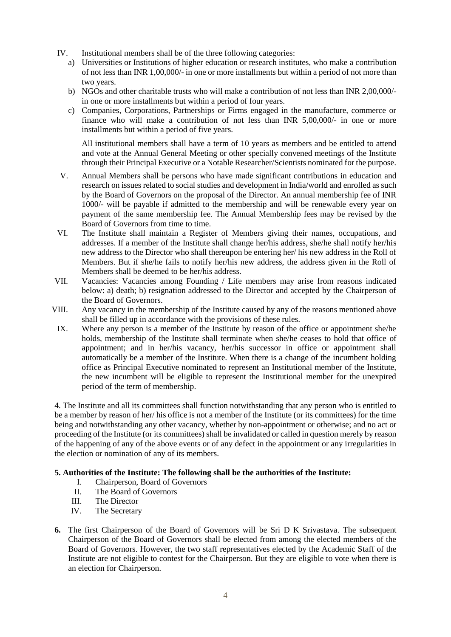- IV. Institutional members shall be of the three following categories:
	- a) Universities or Institutions of higher education or research institutes, who make a contribution of not less than INR 1,00,000/- in one or more installments but within a period of not more than two years.
	- b) NGOs and other charitable trusts who will make a contribution of not less than INR 2,00,000/ in one or more installments but within a period of four years.
	- c) Companies, Corporations, Partnerships or Firms engaged in the manufacture, commerce or finance who will make a contribution of not less than INR 5,00,000/- in one or more installments but within a period of five years.

All institutional members shall have a term of 10 years as members and be entitled to attend and vote at the Annual General Meeting or other specially convened meetings of the Institute through their Principal Executive or a Notable Researcher/Scientists nominated for the purpose.

- V. Annual Members shall be persons who have made significant contributions in education and research on issues related to social studies and development in India/world and enrolled as such by the Board of Governors on the proposal of the Director. An annual membership fee of INR 1000/- will be payable if admitted to the membership and will be renewable every year on payment of the same membership fee. The Annual Membership fees may be revised by the Board of Governors from time to time.
- VI. The Institute shall maintain a Register of Members giving their names, occupations, and addresses. If a member of the Institute shall change her/his address, she/he shall notify her/his new address to the Director who shall thereupon be entering her/ his new address in the Roll of Members. But if she/he fails to notify her/his new address, the address given in the Roll of Members shall be deemed to be her/his address.
- VII. Vacancies: Vacancies among Founding / Life members may arise from reasons indicated below: a) death; b) resignation addressed to the Director and accepted by the Chairperson of the Board of Governors.
- VIII. Any vacancy in the membership of the Institute caused by any of the reasons mentioned above shall be filled up in accordance with the provisions of these rules.
- IX. Where any person is a member of the Institute by reason of the office or appointment she/he holds, membership of the Institute shall terminate when she/he ceases to hold that office of appointment; and in her/his vacancy, her/his successor in office or appointment shall automatically be a member of the Institute. When there is a change of the incumbent holding office as Principal Executive nominated to represent an Institutional member of the Institute, the new incumbent will be eligible to represent the Institutional member for the unexpired period of the term of membership.

4. The Institute and all its committees shall function notwithstanding that any person who is entitled to be a member by reason of her/ his office is not a member of the Institute (or its committees) for the time being and notwithstanding any other vacancy, whether by non-appointment or otherwise; and no act or proceeding of the Institute (or its committees) shall be invalidated or called in question merely by reason of the happening of any of the above events or of any defect in the appointment or any irregularities in the election or nomination of any of its members.

## **5. Authorities of the Institute: The following shall be the authorities of the Institute:**

- I. Chairperson, Board of Governors
- II. The Board of Governors
- III. The Director
- IV. The Secretary
- **6.** The first Chairperson of the Board of Governors will be Sri D K Srivastava. The subsequent Chairperson of the Board of Governors shall be elected from among the elected members of the Board of Governors. However, the two staff representatives elected by the Academic Staff of the Institute are not eligible to contest for the Chairperson. But they are eligible to vote when there is an election for Chairperson.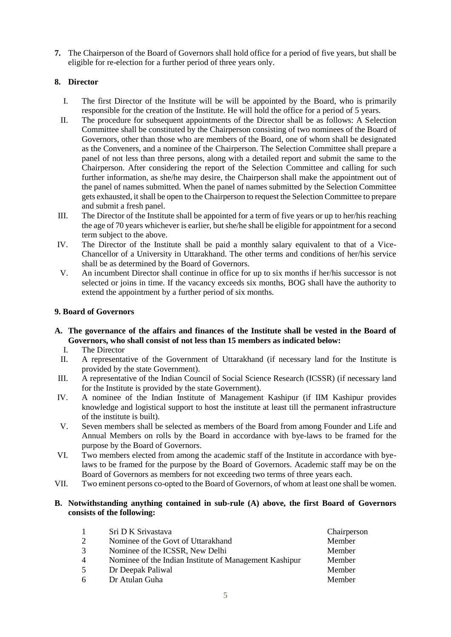**7.** The Chairperson of the Board of Governors shall hold office for a period of five years, but shall be eligible for re-election for a further period of three years only.

# **8. Director**

- I. The first Director of the Institute will be will be appointed by the Board, who is primarily responsible for the creation of the Institute. He will hold the office for a period of 5 years.
- II. The procedure for subsequent appointments of the Director shall be as follows: A Selection Committee shall be constituted by the Chairperson consisting of two nominees of the Board of Governors, other than those who are members of the Board, one of whom shall be designated as the Conveners, and a nominee of the Chairperson. The Selection Committee shall prepare a panel of not less than three persons, along with a detailed report and submit the same to the Chairperson. After considering the report of the Selection Committee and calling for such further information, as she/he may desire, the Chairperson shall make the appointment out of the panel of names submitted. When the panel of names submitted by the Selection Committee gets exhausted, it shall be open to the Chairperson to request the Selection Committee to prepare and submit a fresh panel.
- III. The Director of the Institute shall be appointed for a term of five years or up to her/his reaching the age of 70 years whichever is earlier, but she/he shall be eligible for appointment for a second term subject to the above.
- IV. The Director of the Institute shall be paid a monthly salary equivalent to that of a Vice-Chancellor of a University in Uttarakhand. The other terms and conditions of her/his service shall be as determined by the Board of Governors.
- V. An incumbent Director shall continue in office for up to six months if her/his successor is not selected or joins in time. If the vacancy exceeds six months, BOG shall have the authority to extend the appointment by a further period of six months.

## **9. Board of Governors**

- **A. The governance of the affairs and finances of the Institute shall be vested in the Board of Governors, who shall consist of not less than 15 members as indicated below:** 
	- I. The Director
	- II. A representative of the Government of Uttarakhand (if necessary land for the Institute is provided by the state Government).
- III. A representative of the Indian Council of Social Science Research (ICSSR) (if necessary land for the Institute is provided by the state Government).
- IV. A nominee of the Indian Institute of Management Kashipur (if IIM Kashipur provides knowledge and logistical support to host the institute at least till the permanent infrastructure of the institute is built).
- V. Seven members shall be selected as members of the Board from among Founder and Life and Annual Members on rolls by the Board in accordance with bye-laws to be framed for the purpose by the Board of Governors.
- VI. Two members elected from among the academic staff of the Institute in accordance with byelaws to be framed for the purpose by the Board of Governors. Academic staff may be on the Board of Governors as members for not exceeding two terms of three years each.
- VII. Two eminent persons co-opted to the Board of Governors, of whom at least one shall be women.

## **B. Notwithstanding anything contained in sub-rule (A) above, the first Board of Governors consists of the following:**

|                | Sri D K Srivastava                                     | Chairperson |
|----------------|--------------------------------------------------------|-------------|
| $\mathcal{D}$  | Nominee of the Govt of Uttarakhand                     | Member      |
| 3              | Nominee of the ICSSR, New Delhi                        | Member      |
| $\overline{4}$ | Nominee of the Indian Institute of Management Kashipur | Member      |
| 5              | Dr Deepak Paliwal                                      | Member      |
| 6              | Dr Atulan Guha                                         | Member      |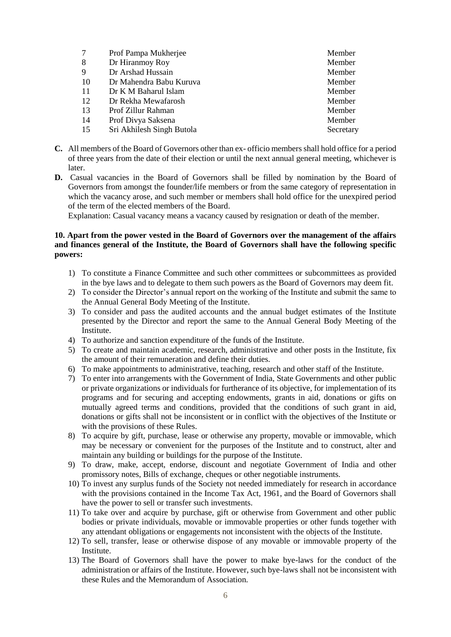|    | Prof Pampa Mukherjee      | Member    |
|----|---------------------------|-----------|
| 8  | Dr Hiranmoy Roy           | Member    |
| 9  | Dr Arshad Hussain         | Member    |
| 10 | Dr Mahendra Babu Kuruva   | Member    |
| 11 | Dr K M Baharul Islam      | Member    |
| 12 | Dr Rekha Mewafarosh       | Member    |
| 13 | Prof Zillur Rahman        | Member    |
| 14 | Prof Divya Saksena        | Member    |
| 15 | Sri Akhilesh Singh Butola | Secretary |

- **C.** All members of the Board of Governors other than ex- officio members shall hold office for a period of three years from the date of their election or until the next annual general meeting, whichever is later.
- **D.** Casual vacancies in the Board of Governors shall be filled by nomination by the Board of Governors from amongst the founder/life members or from the same category of representation in which the vacancy arose, and such member or members shall hold office for the unexpired period of the term of the elected members of the Board.

Explanation: Casual vacancy means a vacancy caused by resignation or death of the member.

## **10. Apart from the power vested in the Board of Governors over the management of the affairs and finances general of the Institute, the Board of Governors shall have the following specific powers:**

- 1) To constitute a Finance Committee and such other committees or subcommittees as provided in the bye laws and to delegate to them such powers as the Board of Governors may deem fit.
- 2) To consider the Director's annual report on the working of the Institute and submit the same to the Annual General Body Meeting of the Institute.
- 3) To consider and pass the audited accounts and the annual budget estimates of the Institute presented by the Director and report the same to the Annual General Body Meeting of the Institute.
- 4) To authorize and sanction expenditure of the funds of the Institute.
- 5) To create and maintain academic, research, administrative and other posts in the Institute, fix the amount of their remuneration and define their duties.
- 6) To make appointments to administrative, teaching, research and other staff of the Institute.
- 7) To enter into arrangements with the Government of India, State Governments and other public or private organizations or individuals for furtherance of its objective, for implementation of its programs and for securing and accepting endowments, grants in aid, donations or gifts on mutually agreed terms and conditions, provided that the conditions of such grant in aid, donations or gifts shall not be inconsistent or in conflict with the objectives of the Institute or with the provisions of these Rules.
- 8) To acquire by gift, purchase, lease or otherwise any property, movable or immovable, which may be necessary or convenient for the purposes of the Institute and to construct, alter and maintain any building or buildings for the purpose of the Institute.
- 9) To draw, make, accept, endorse, discount and negotiate Government of India and other promissory notes, Bills of exchange, cheques or other negotiable instruments.
- 10) To invest any surplus funds of the Society not needed immediately for research in accordance with the provisions contained in the Income Tax Act, 1961, and the Board of Governors shall have the power to sell or transfer such investments.
- 11) To take over and acquire by purchase, gift or otherwise from Government and other public bodies or private individuals, movable or immovable properties or other funds together with any attendant obligations or engagements not inconsistent with the objects of the Institute.
- 12) To sell, transfer, lease or otherwise dispose of any movable or immovable property of the Institute.
- 13) The Board of Governors shall have the power to make bye-laws for the conduct of the administration or affairs of the Institute. However, such bye-laws shall not be inconsistent with these Rules and the Memorandum of Association.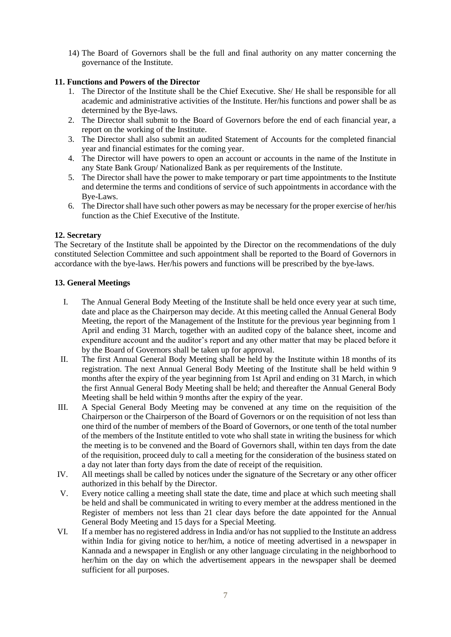14) The Board of Governors shall be the full and final authority on any matter concerning the governance of the Institute.

## **11. Functions and Powers of the Director**

- 1. The Director of the Institute shall be the Chief Executive. She/ He shall be responsible for all academic and administrative activities of the Institute. Her/his functions and power shall be as determined by the Bye-laws.
- 2. The Director shall submit to the Board of Governors before the end of each financial year, a report on the working of the Institute.
- 3. The Director shall also submit an audited Statement of Accounts for the completed financial year and financial estimates for the coming year.
- 4. The Director will have powers to open an account or accounts in the name of the Institute in any State Bank Group/ Nationalized Bank as per requirements of the Institute.
- 5. The Director shall have the power to make temporary or part time appointments to the Institute and determine the terms and conditions of service of such appointments in accordance with the Bye-Laws.
- 6. The Director shall have such other powers as may be necessary for the proper exercise of her/his function as the Chief Executive of the Institute.

## **12. Secretary**

The Secretary of the Institute shall be appointed by the Director on the recommendations of the duly constituted Selection Committee and such appointment shall be reported to the Board of Governors in accordance with the bye-laws. Her/his powers and functions will be prescribed by the bye-laws.

## **13. General Meetings**

- I. The Annual General Body Meeting of the Institute shall be held once every year at such time, date and place as the Chairperson may decide. At this meeting called the Annual General Body Meeting, the report of the Management of the Institute for the previous year beginning from 1 April and ending 31 March, together with an audited copy of the balance sheet, income and expenditure account and the auditor's report and any other matter that may be placed before it by the Board of Governors shall be taken up for approval.
- II. The first Annual General Body Meeting shall be held by the Institute within 18 months of its registration. The next Annual General Body Meeting of the Institute shall be held within 9 months after the expiry of the year beginning from 1st April and ending on 31 March, in which the first Annual General Body Meeting shall be held; and thereafter the Annual General Body Meeting shall be held within 9 months after the expiry of the year.
- III. A Special General Body Meeting may be convened at any time on the requisition of the Chairperson or the Chairperson of the Board of Governors or on the requisition of not less than one third of the number of members of the Board of Governors, or one tenth of the total number of the members of the Institute entitled to vote who shall state in writing the business for which the meeting is to be convened and the Board of Governors shall, within ten days from the date of the requisition, proceed duly to call a meeting for the consideration of the business stated on a day not later than forty days from the date of receipt of the requisition.
- IV. All meetings shall be called by notices under the signature of the Secretary or any other officer authorized in this behalf by the Director.
- V. Every notice calling a meeting shall state the date, time and place at which such meeting shall be held and shall be communicated in writing to every member at the address mentioned in the Register of members not less than 21 clear days before the date appointed for the Annual General Body Meeting and 15 days for a Special Meeting.
- VI. If a member has no registered address in India and/or has not supplied to the Institute an address within India for giving notice to her/him, a notice of meeting advertised in a newspaper in Kannada and a newspaper in English or any other language circulating in the neighborhood to her/him on the day on which the advertisement appears in the newspaper shall be deemed sufficient for all purposes.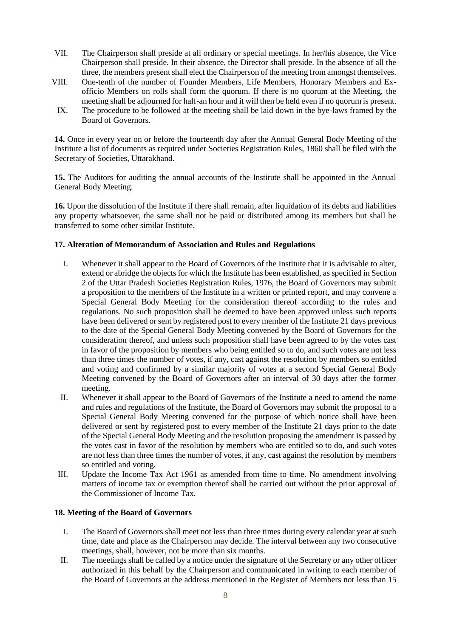- VII. The Chairperson shall preside at all ordinary or special meetings. In her/his absence, the Vice Chairperson shall preside. In their absence, the Director shall preside. In the absence of all the three, the members present shall elect the Chairperson of the meeting from amongst themselves.
- VIII. One-tenth of the number of Founder Members, Life Members, Honorary Members and Exofficio Members on rolls shall form the quorum. If there is no quorum at the Meeting, the meeting shall be adjourned for half-an hour and it will then be held even if no quorum is present.
	- IX. The procedure to be followed at the meeting shall be laid down in the bye-laws framed by the Board of Governors.

**14.** Once in every year on or before the fourteenth day after the Annual General Body Meeting of the Institute a list of documents as required under Societies Registration Rules, 1860 shall be filed with the Secretary of Societies, Uttarakhand.

**15.** The Auditors for auditing the annual accounts of the Institute shall be appointed in the Annual General Body Meeting.

**16.** Upon the dissolution of the Institute if there shall remain, after liquidation of its debts and liabilities any property whatsoever, the same shall not be paid or distributed among its members but shall be transferred to some other similar Institute.

## **17. Alteration of Memorandum of Association and Rules and Regulations**

- I. Whenever it shall appear to the Board of Governors of the Institute that it is advisable to alter, extend or abridge the objects for which the Institute has been established, as specified in Section 2 of the Uttar Pradesh Societies Registration Rules, 1976, the Board of Governors may submit a proposition to the members of the Institute in a written or printed report, and may convene a Special General Body Meeting for the consideration thereof according to the rules and regulations. No such proposition shall be deemed to have been approved unless such reports have been delivered or sent by registered post to every member of the Institute 21 days previous to the date of the Special General Body Meeting convened by the Board of Governors for the consideration thereof, and unless such proposition shall have been agreed to by the votes cast in favor of the proposition by members who being entitled so to do, and such votes are not less than three times the number of votes, if any, cast against the resolution by members so entitled and voting and confirmed by a similar majority of votes at a second Special General Body Meeting convened by the Board of Governors after an interval of 30 days after the former meeting.
- II. Whenever it shall appear to the Board of Governors of the Institute a need to amend the name and rules and regulations of the Institute, the Board of Governors may submit the proposal to a Special General Body Meeting convened for the purpose of which notice shall have been delivered or sent by registered post to every member of the Institute 21 days prior to the date of the Special General Body Meeting and the resolution proposing the amendment is passed by the votes cast in favor of the resolution by members who are entitled so to do, and such votes are not less than three times the number of votes, if any, cast against the resolution by members so entitled and voting.
- III. Update the Income Tax Act 1961 as amended from time to time. No amendment involving matters of income tax or exemption thereof shall be carried out without the prior approval of the Commissioner of Income Tax.

## **18. Meeting of the Board of Governors**

- I. The Board of Governors shall meet not less than three times during every calendar year at such time, date and place as the Chairperson may decide. The interval between any two consecutive meetings, shall, however, not be more than six months.
- II. The meetings shall be called by a notice under the signature of the Secretary or any other officer authorized in this behalf by the Chairperson and communicated in writing to each member of the Board of Governors at the address mentioned in the Register of Members not less than 15